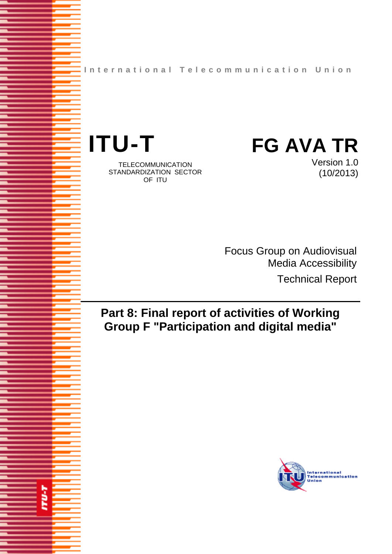**International Telecommunication Union**



**TU-T** 

TELECOMMUNICATION STANDARDIZATION SECTOR OF ITU

Version 1.0 (10/2013)

Focus Group on Audiovisual Media Accessibility Technical Report

# **Part 8: Final report of activities of Working Group F "Participation and digital media"**

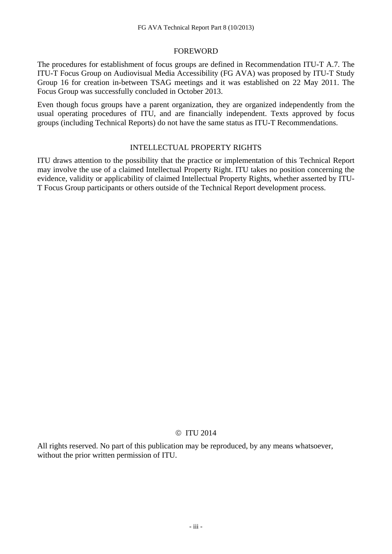#### FOREWORD

The procedures for establishment of focus groups are defined in Recommendation ITU-T A.7. The ITU-T Focus Group on Audiovisual Media Accessibility (FG AVA) was proposed by ITU-T Study Group 16 for creation in-between TSAG meetings and it was established on 22 May 2011. The Focus Group was successfully concluded in October 2013.

Even though focus groups have a parent organization, they are organized independently from the usual operating procedures of ITU, and are financially independent. Texts approved by focus groups (including Technical Reports) do not have the same status as ITU-T Recommendations.

#### INTELLECTUAL PROPERTY RIGHTS

ITU draws attention to the possibility that the practice or implementation of this Technical Report may involve the use of a claimed Intellectual Property Right. ITU takes no position concerning the evidence, validity or applicability of claimed Intellectual Property Rights, whether asserted by ITU-T Focus Group participants or others outside of the Technical Report development process.

## © ITU 2014

All rights reserved. No part of this publication may be reproduced, by any means whatsoever, without the prior written permission of ITU.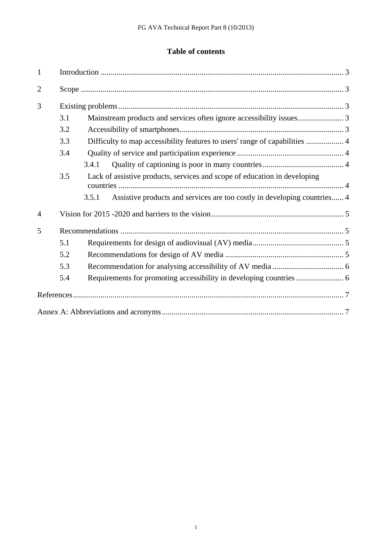# **Table of contents**

| $\mathbf{1}$   |     |                                                                                   |  |
|----------------|-----|-----------------------------------------------------------------------------------|--|
| $\overline{2}$ |     |                                                                                   |  |
| 3              |     |                                                                                   |  |
|                | 3.1 |                                                                                   |  |
|                | 3.2 |                                                                                   |  |
|                | 3.3 | Difficulty to map accessibility features to users' range of capabilities  4       |  |
|                | 3.4 |                                                                                   |  |
|                |     | 3.4.1                                                                             |  |
|                | 3.5 | Lack of assistive products, services and scope of education in developing         |  |
|                |     | Assistive products and services are too costly in developing countries 4<br>3.5.1 |  |
| $\overline{4}$ |     |                                                                                   |  |
| 5              |     |                                                                                   |  |
|                | 5.1 |                                                                                   |  |
|                | 5.2 |                                                                                   |  |
|                | 5.3 |                                                                                   |  |
|                | 5.4 |                                                                                   |  |
|                |     |                                                                                   |  |
|                |     |                                                                                   |  |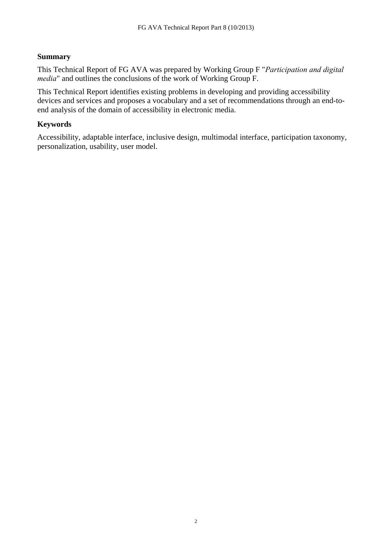## **Summary**

This Technical Report of FG AVA was prepared by Working Group F "*Participation and digital media*" and outlines the conclusions of the work of Working Group F.

This Technical Report identifies existing problems in developing and providing accessibility devices and services and proposes a vocabulary and a set of recommendations through an end-toend analysis of the domain of accessibility in electronic media.

#### **Keywords**

Accessibility, adaptable interface, inclusive design, multimodal interface, participation taxonomy, personalization, usability, user model.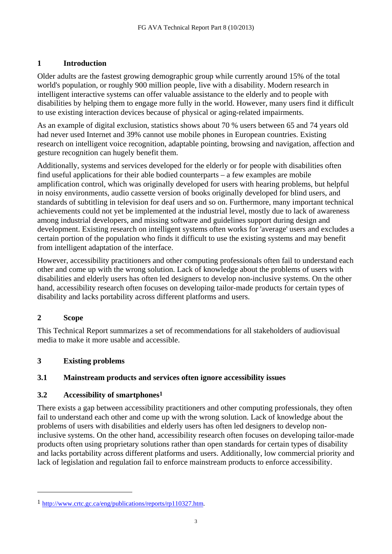# **1 Introduction**

Older adults are the fastest growing demographic group while currently around 15% of the total world's population, or roughly 900 million people, live with a disability. Modern research in intelligent interactive systems can offer valuable assistance to the elderly and to people with disabilities by helping them to engage more fully in the world. However, many users find it difficult to use existing interaction devices because of physical or aging-related impairments.

As an example of digital exclusion, statistics shows about 70 % users between 65 and 74 years old had never used Internet and 39% cannot use mobile phones in European countries. Existing research on intelligent voice recognition, adaptable pointing, browsing and navigation, affection and gesture recognition can hugely benefit them.

Additionally, systems and services developed for the elderly or for people with disabilities often find useful applications for their able bodied counterparts – a few examples are mobile amplification control, which was originally developed for users with hearing problems, but helpful in noisy environments, audio cassette version of books originally developed for blind users, and standards of subtitling in television for deaf users and so on. Furthermore, many important technical achievements could not yet be implemented at the industrial level, mostly due to lack of awareness among industrial developers, and missing software and guidelines support during design and development. Existing research on intelligent systems often works for 'average' users and excludes a certain portion of the population who finds it difficult to use the existing systems and may benefit from intelligent adaptation of the interface.

However, accessibility practitioners and other computing professionals often fail to understand each other and come up with the wrong solution. Lack of knowledge about the problems of users with disabilities and elderly users has often led designers to develop non-inclusive systems. On the other hand, accessibility research often focuses on developing tailor-made products for certain types of disability and lacks portability across different platforms and users.

# **2 Scope**

 $\overline{a}$ 

This Technical Report summarizes a set of recommendations for all stakeholders of audiovisual media to make it more usable and accessible.

# **3 Existing problems**

# **3.1 Mainstream products and services often ignore accessibility issues**

# **3.2 Accessibility of smartphones1**

There exists a gap between accessibility practitioners and other computing professionals, they often fail to understand each other and come up with the wrong solution. Lack of knowledge about the problems of users with disabilities and elderly users has often led designers to develop noninclusive systems. On the other hand, accessibility research often focuses on developing tailor-made products often using proprietary solutions rather than open standards for certain types of disability and lacks portability across different platforms and users. Additionally, low commercial priority and lack of legislation and regulation fail to enforce mainstream products to enforce accessibility.

<sup>1</sup> [http://www.crtc.gc.ca/eng/publications/reports/rp110327.htm.](http://www.crtc.gc.ca/eng/publications/reports/rp110327.htm)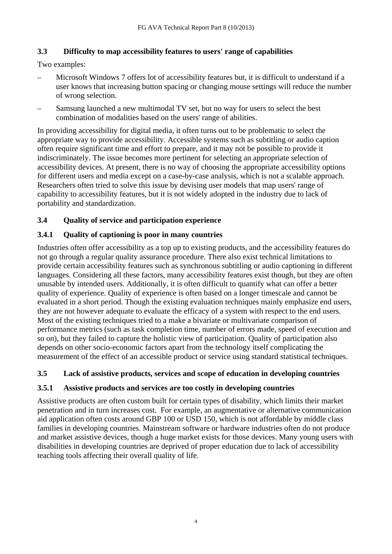## **3.3 Difficulty to map accessibility features to users' range of capabilities**

Two examples:

- Microsoft Windows 7 offers lot of accessibility features but, it is difficult to understand if a user knows that increasing button spacing or changing mouse settings will reduce the number of wrong selection.
- Samsung launched a new multimodal TV set, but no way for users to select the best combination of modalities based on the users' range of abilities.

In providing accessibility for digital media, it often turns out to be problematic to select the appropriate way to provide accessibility. Accessible systems such as subtitling or audio caption often require significant time and effort to prepare, and it may not be possible to provide it indiscriminately. The issue becomes more pertinent for selecting an appropriate selection of accessibility devices. At present, there is no way of choosing the appropriate accessibility options for different users and media except on a case-by-case analysis, which is not a scalable approach. Researchers often tried to solve this issue by devising user models that map users' range of capability to accessibility features, but it is not widely adopted in the industry due to lack of portability and standardization.

## **3.4 Quality of service and participation experience**

## **3.4.1 Quality of captioning is poor in many countries**

Industries often offer accessibility as a top up to existing products, and the accessibility features do not go through a regular quality assurance procedure. There also exist technical limitations to provide certain accessibility features such as synchronous subtitling or audio captioning in different languages. Considering all these factors, many accessibility features exist though, but they are often unusable by intended users. Additionally, it is often difficult to quantify what can offer a better quality of experience. Quality of experience is often based on a longer timescale and cannot be evaluated in a short period. Though the existing evaluation techniques mainly emphasize end users, they are not however adequate to evaluate the efficacy of a system with respect to the end users. Most of the existing techniques tried to a make a bivariate or multivariate comparison of performance metrics (such as task completion time, number of errors made, speed of execution and so on), but they failed to capture the holistic view of participation. Quality of participation also depends on other socio-economic factors apart from the technology itself complicating the measurement of the effect of an accessible product or service using standard statistical techniques.

## **3.5 Lack of assistive products, services and scope of education in developing countries**

## **3.5.1 Assistive products and services are too costly in developing countries**

Assistive products are often custom built for certain types of disability, which limits their market penetration and in turn increases cost. For example, an augmentative or alternative communication aid application often costs around GBP 100 or USD 150, which is not affordable by middle class families in developing countries. Mainstream software or hardware industries often do not produce and market assistive devices, though a huge market exists for those devices. Many young users with disabilities in developing countries are deprived of proper education due to lack of accessibility teaching tools affecting their overall quality of life.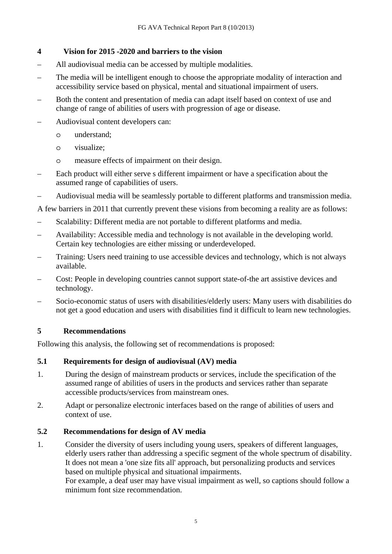## **4 Vision for 2015 -2020 and barriers to the vision**

- All audiovisual media can be accessed by multiple modalities.
- The media will be intelligent enough to choose the appropriate modality of interaction and accessibility service based on physical, mental and situational impairment of users.
- Both the content and presentation of media can adapt itself based on context of use and change of range of abilities of users with progression of age or disease.
- Audiovisual content developers can:
	- o understand;
	- o visualize;
	- o measure effects of impairment on their design.
- Each product will either serve s different impairment or have a specification about the assumed range of capabilities of users.
- Audiovisual media will be seamlessly portable to different platforms and transmission media.

A few barriers in 2011 that currently prevent these visions from becoming a reality are as follows:

- Scalability: Different media are not portable to different platforms and media.
- Availability: Accessible media and technology is not available in the developing world. Certain key technologies are either missing or underdeveloped.
- Training: Users need training to use accessible devices and technology, which is not always available.
- Cost: People in developing countries cannot support state-of-the art assistive devices and technology.
- Socio-economic status of users with disabilities/elderly users: Many users with disabilities do not get a good education and users with disabilities find it difficult to learn new technologies.

# **5 Recommendations**

Following this analysis, the following set of recommendations is proposed:

## **5.1 Requirements for design of audiovisual (AV) media**

- 1. During the design of mainstream products or services, include the specification of the assumed range of abilities of users in the products and services rather than separate accessible products/services from mainstream ones.
- 2. Adapt or personalize electronic interfaces based on the range of abilities of users and context of use.

# **5.2 Recommendations for design of AV media**

1. Consider the diversity of users including young users, speakers of different languages, elderly users rather than addressing a specific segment of the whole spectrum of disability. It does not mean a 'one size fits all' approach, but personalizing products and services based on multiple physical and situational impairments.

For example, a deaf user may have visual impairment as well, so captions should follow a minimum font size recommendation.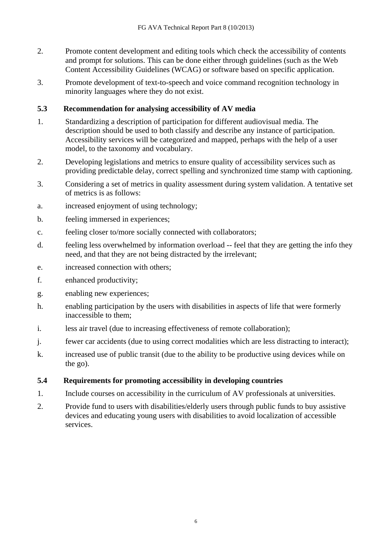- 2. Promote content development and editing tools which check the accessibility of contents and prompt for solutions. This can be done either through guidelines (such as the Web Content Accessibility Guidelines (WCAG) or software based on specific application.
- 3. Promote development of text-to-speech and voice command recognition technology in minority languages where they do not exist.

## **5.3 Recommendation for analysing accessibility of AV media**

- 1. Standardizing a description of participation for different audiovisual media. The description should be used to both classify and describe any instance of participation. Accessibility services will be categorized and mapped, perhaps with the help of a user model, to the taxonomy and vocabulary.
- 2. Developing legislations and metrics to ensure quality of accessibility services such as providing predictable delay, correct spelling and synchronized time stamp with captioning.
- 3. Considering a set of metrics in quality assessment during system validation. A tentative set of metrics is as follows:
- a. increased enjoyment of using technology;
- b. feeling immersed in experiences;
- c. feeling closer to/more socially connected with collaborators;
- d. feeling less overwhelmed by information overload -- feel that they are getting the info they need, and that they are not being distracted by the irrelevant;
- e. increased connection with others;
- f. enhanced productivity;
- g. enabling new experiences;
- h. enabling participation by the users with disabilities in aspects of life that were formerly inaccessible to them;
- i. less air travel (due to increasing effectiveness of remote collaboration);
- j. fewer car accidents (due to using correct modalities which are less distracting to interact);
- k. increased use of public transit (due to the ability to be productive using devices while on the go).

## **5.4 Requirements for promoting accessibility in developing countries**

- 1. Include courses on accessibility in the curriculum of AV professionals at universities.
- 2. Provide fund to users with disabilities/elderly users through public funds to buy assistive devices and educating young users with disabilities to avoid localization of accessible services.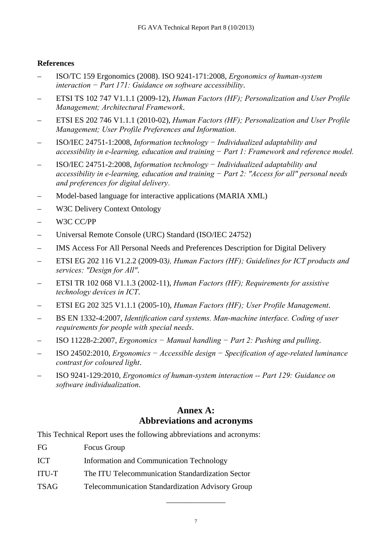## **References**

- ISO/TC 159 Ergonomics (2008). ISO 9241-171:2008, *Ergonomics of human-system interaction − Part 171: Guidance on software accessibility*.
- ETSI TS 102 747 V1.1.1 (2009-12), *Human Factors (HF); Personalization and User Profile Management; Architectural Framework*.
- ETSI ES 202 746 V1.1.1 (2010-02), *Human Factors (HF); Personalization and User Profile Management; User Profile Preferences and Information*.
- ISO/IEC 24751-1:2008, *Information technology − Individualized adaptability and accessibility in e-learning, education and training − Part 1: Framework and reference model.*
- ISO/IEC 24751-2:2008, *Information technology − Individualized adaptability and accessibility in e-learning, education and training − Part 2: "Access for all" personal needs and preferences for digital delivery*.
- Model-based language for interactive applications (MARIA XML)
- W3C Delivery Context Ontology
- W3C CC/PP
- Universal Remote Console (URC) Standard (ISO/IEC 24752)
- IMS Access For All Personal Needs and Preferences Description for Digital Delivery
- ETSI EG 202 116 V1.2.2 (2009-03*), Human Factors (HF); Guidelines for ICT products and services: "Design for All"*.
- ETSI TR 102 068 V1.1.3 (2002-11), *Human Factors (HF); Requirements for assistive technology devices in ICT*.
- ETSI EG 202 325 V1.1.1 (2005-10), *Human Factors (HF); User Profile Management*.
- BS EN 1332-4:2007, *Identification card systems. Man-machine interface. Coding of user requirements for people with special needs*.
- ISO 11228-2:2007, *Ergonomics − Manual handling − Part 2: Pushing and pulling*.
- ISO 24502:2010, *Ergonomics − Accessible design − Specification of age-related luminance contrast for coloured light*.
- ISO 9241-129:2010, *Ergonomics of human-system interaction -- Part 129: Guidance on software individualization*.

## **Annex A: Abbreviations and acronyms**

This Technical Report uses the following abbreviations and acronyms:

- FG Focus Group
- ICT Information and Communication Technology
- ITU-T The ITU Telecommunication Standardization Sector
- TSAG Telecommunication Standardization Advisory Group

\_\_\_\_\_\_\_\_\_\_\_\_\_\_\_